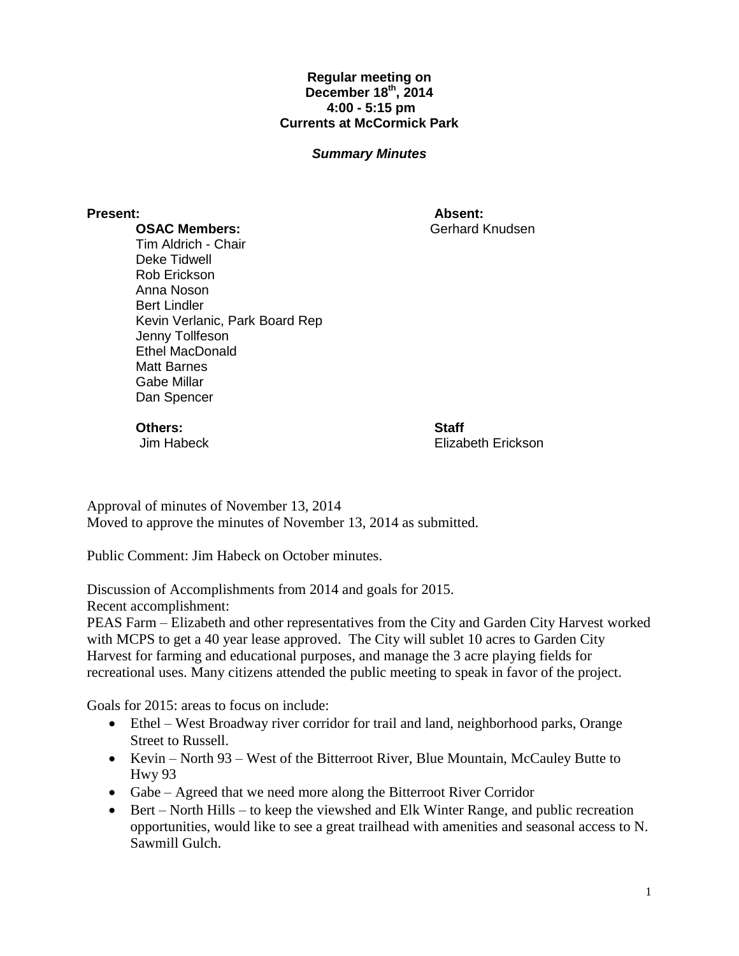## **Regular meeting on December 18th , 2014 4:00 - 5:15 pm Currents at McCormick Park**

## *Summary Minutes*

**Present: Absent:** Gerhard Knudsen

**OSAC Members:** Tim Aldrich - Chair Deke Tidwell Rob Erickson Anna Noson Bert Lindler Kevin Verlanic, Park Board Rep Jenny Tollfeson Ethel MacDonald Matt Barnes Gabe Millar Dan Spencer

**Others:**

Jim Habeck

**Staff** Elizabeth Erickson

Approval of minutes of November 13, 2014 Moved to approve the minutes of November 13, 2014 as submitted.

Public Comment: Jim Habeck on October minutes.

Discussion of Accomplishments from 2014 and goals for 2015.

Recent accomplishment:

PEAS Farm – Elizabeth and other representatives from the City and Garden City Harvest worked with MCPS to get a 40 year lease approved. The City will sublet 10 acres to Garden City Harvest for farming and educational purposes, and manage the 3 acre playing fields for recreational uses. Many citizens attended the public meeting to speak in favor of the project.

Goals for 2015: areas to focus on include:

- Ethel West Broadway river corridor for trail and land, neighborhood parks, Orange Street to Russell.
- Kevin North 93 West of the Bitterroot River, Blue Mountain, McCauley Butte to Hwy 93
- Gabe Agreed that we need more along the Bitterroot River Corridor
- $\bullet$  Bert North Hills to keep the viewshed and Elk Winter Range, and public recreation opportunities, would like to see a great trailhead with amenities and seasonal access to N. Sawmill Gulch.